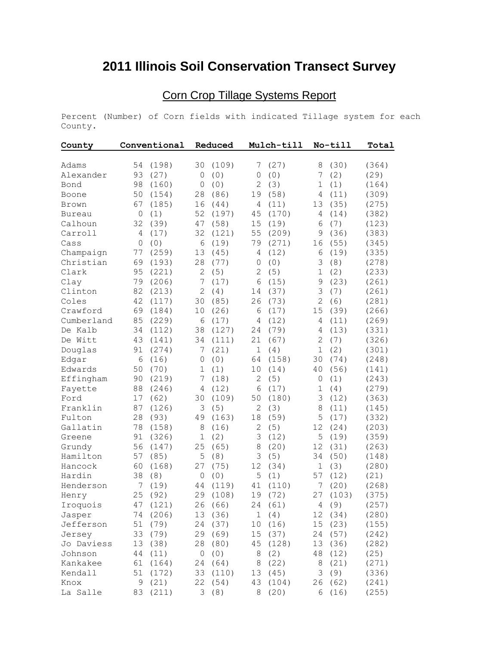## **2011 Illinois Soil Conservation Transect Survey**

## Corn Crop Tillage Systems Report

Percent (Number) of Corn fields with indicated Tillage system for each County.

| County        |              | Conventional |                | Reduced  |                | Mulch-till |                | No-till | Total |
|---------------|--------------|--------------|----------------|----------|----------------|------------|----------------|---------|-------|
| Adams         | 54           | (198)        | 30             | (109)    | 7              | (27)       | 8              | (30)    | (364) |
| Alexander     | 93           | (27)         | $\mathbf{0}$   | (0)      | $\mathbf 0$    | (0)        | 7              | (2)     | (29)  |
| Bond          | 98           | (160)        | $\mathbf 0$    | (0)      | $\overline{c}$ | (3)        | $\mathbf 1$    | (1)     | (164) |
| Boone         | 50           | (154)        | 28             | (86)     | 19             | (58)       | 4              | (11)    | (309) |
| Brown         | 67           | (185)        | 16             | (44)     | 4              | (11)       | 13             | (35)    | (275) |
| <b>Bureau</b> | 0            | (1)          | 52             | (197)    | 45             | (170)      | 4              | (14)    | (382) |
| Calhoun       | 32           | (39)         | 47             | (58)     | 15             | (19)       | 6              | (7)     | (123) |
| Carroll       | 4            | (17)         | 32             | (121)    | 55             | (209)      | 9              | (36)    | (383) |
| Cass          | $\mathbf{0}$ | (0)          | $6\,$          | (19)     | 79             | (271)      | 16             | (55)    | (345) |
| Champaign     | 77           | (259)        | 13             | (45)     | 4              | (12)       | 6              | (19)    | (335) |
| Christian     | 69           | (193)        | 28             | (77)     | $\mathbf 0$    | (0)        | 3              | (8)     | (278) |
| Clark         | 95           | (221)        | $\overline{c}$ | (5)      | $\overline{c}$ | (5)        | $\mathbf 1$    | (2)     | (233) |
| Clay          | 79           | (206)        | 7              | (17)     | $\epsilon$     | (15)       | $\mathsf 9$    | (23)    | (261) |
| Clinton       | 82           | (213)        | $\overline{c}$ | (4)      | 14             | (37)       | 3              | (7)     | (261) |
| Coles         | 42           | (117)        | 30             | (85)     | 26             | (73)       | $\mathbf{2}$   | (6)     | (281) |
| Crawford      | 69           | (184)        | 10             | (26)     | 6              | (17)       | 15             | (39)    | (266) |
| Cumberland    | 85           | (229)        | 6              | (17)     | 4              | (12)       | 4              | (11)    | (269) |
| De Kalb       | 34           | (112)        | 38             | (127)    | 24             | (79)       | 4              | (13)    | (331) |
| De Witt       | 43           | (141)        | 34             | (111)    | 21             | (67)       | $\overline{2}$ | (7)     | (326) |
| Douglas       | 91           | (274)        | 7              | (21)     | $1\,$          | (4)        | $\mathbf 1$    | (2)     | (301) |
| Edgar         | 6            | (16)         | $\mathbf 0$    | (0)      | 64             | (158)      | 30             | (74)    | (248) |
| Edwards       | 50           | (70)         | $\mathbf 1$    | (1)      | 10             | (14)       | 40             | (56)    | (141) |
| Effingham     | 90           | (219)        | 7              | (18)     | $\mathbf{2}$   | (5)        | 0              | (1)     | (243) |
| Fayette       | 88           | (246)        | $\overline{4}$ | (12)     | $\epsilon$     | (17)       | 1              | (4)     | (279) |
| Ford          | 17           | (62)         | 30             | (109)    | 50             | (180)      | 3              | (12)    | (363) |
| Franklin      | 87           | (126)        | 3              | (5)      | $\mathbf{2}$   | (3)        | 8              | (11)    | (145) |
| Fulton        | 28           | (93)         | 49             | (163)    | 18             | (59)       | 5              | (17)    | (332) |
| Gallatin      | 78           | (158)        | 8              | (16)     | $\mathbf{2}$   | (5)        | 12             | (24)    | (203) |
| Greene        | 91           | (326)        | $1\,$          | (2)      | 3              | (12)       | 5              | (19)    | (359) |
| Grundy        | 56           | (147)        | 25             | (65)     | 8              | (20)       | 12             | (31)    | (263) |
| Hamilton      | 57           | (85)         | 5              | (8)      | 3              | (5)        | 34             | (50)    | (148) |
| Hancock       | 60           | (168)        | 27             | (75)     | 12             | (34)       | $\mathbf 1$    | (3)     | (280) |
| Hardin        | 38           | (8)          | $\circ$        | (0)      | 5              | (1)        | 57             | (12)    | (21)  |
| Henderson     | 7            | (19)         | 44             | (119)    | 41             | (110)      | 7              | (20)    | (268) |
| Henry         | 25           | (92)         | 29             | (108)    | 19             | (72)       | 27             | (103)   | (375) |
| Iroquois      | 47           | (121)        | 26             | (66)     | 24             | (61)       | 4              | (9)     | (257) |
| Jasper        |              | 74 (206)     |                | 13 (36)  |                | 1(4)       |                | 12 (34) | (280) |
| Jefferson     | 51           | (79)         |                | 24 (37)  |                | 10 (16)    |                | 15(23)  | (155) |
| Jersey        | 33           | (79)         | 29             | (69)     |                | 15 (37)    | 24             | (57)    | (242) |
| Jo Daviess    | 13           | (38)         | 28             | (80)     |                | 45 (128)   |                | 13 (36) | (282) |
| Johnson       | 44           | (11)         | 0              | (0)      | 8              | (2)        | 48             | (12)    | (25)  |
| Kankakee      | 61           | (164)        | 24             | (64)     | 8              | (22)       | $\,8\,$        | (21)    | (271) |
| Kendall       | 51           | (172)        |                | 33 (110) |                | 13 (45)    | 3              | (9)     | (336) |
| Knox          | $\mathsf 9$  | (21)         |                | 22 (54)  |                | 43 (104)   | 26             | (62)    | (241) |
| La Salle      |              | 83 (211)     |                | 3(8)     |                | 8(20)      |                | 6(16)   | (255) |